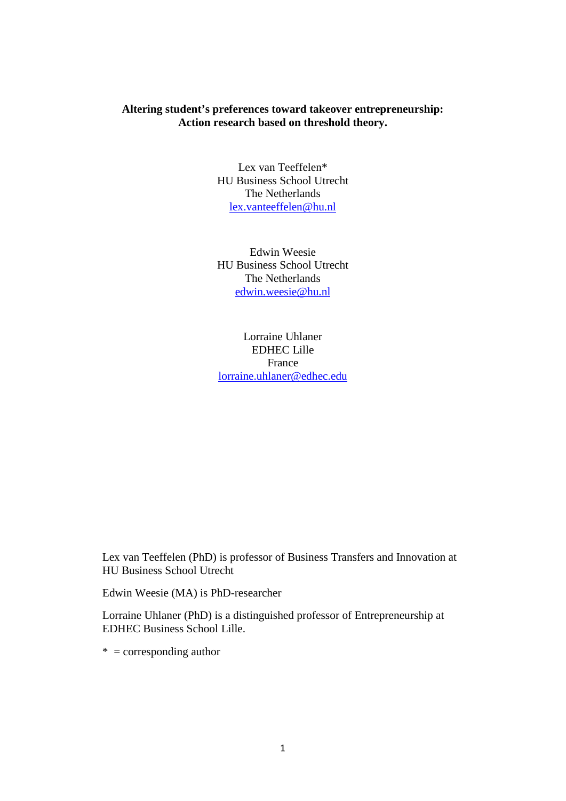# **Altering student's preferences toward takeover entrepreneurship: Action research based on threshold theory.**

Lex van Teeffelen\* HU Business School Utrecht The Netherlands [lex.vanteeffelen@hu.nl](mailto:lex.vanteeffelen@hu.nl)

Edwin Weesie HU Business School Utrecht The Netherlands [edwin.weesie@hu.nl](mailto:edwin.weesie@hu.nl)

Lorraine Uhlaner EDHEC Lille France [lorraine.uhlaner@edhec.edu](mailto:lorraine.uhlaner@edhec.edu)

Lex van Teeffelen (PhD) is professor of Business Transfers and Innovation at HU Business School Utrecht

Edwin Weesie (MA) is PhD-researcher

Lorraine Uhlaner (PhD) is a distinguished professor of Entrepreneurship at EDHEC Business School Lille.

 $* =$  corresponding author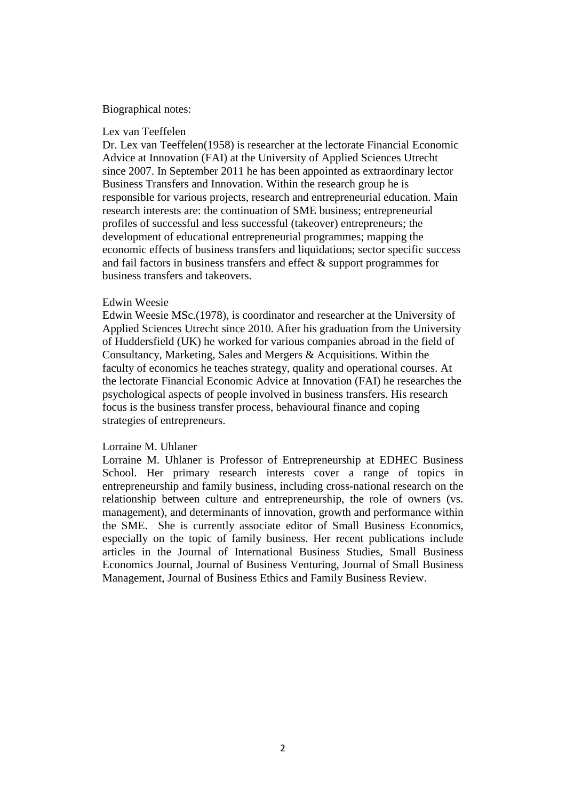### Biographical notes:

### Lex van Teeffelen

Dr. Lex van Teeffelen(1958) is researcher at the lectorate Financial Economic Advice at Innovation (FAI) at the University of Applied Sciences Utrecht since 2007. In September 2011 he has been appointed as extraordinary lector Business Transfers and Innovation. Within the research group he is responsible for various projects, research and entrepreneurial education. Main research interests are: the continuation of SME business; entrepreneurial profiles of successful and less successful (takeover) entrepreneurs; the development of educational entrepreneurial programmes; mapping the economic effects of business transfers and liquidations; sector specific success and fail factors in business transfers and effect & support programmes for business transfers and takeovers.

#### Edwin Weesie

Edwin Weesie MSc.(1978), is coordinator and researcher at the University of Applied Sciences Utrecht since 2010. After his graduation from the University of Huddersfield (UK) he worked for various companies abroad in the field of Consultancy, Marketing, Sales and Mergers & Acquisitions. Within the faculty of economics he teaches strategy, quality and operational courses. At the lectorate Financial Economic Advice at Innovation (FAI) he researches the psychological aspects of people involved in business transfers. His research focus is the business transfer process, behavioural finance and coping strategies of entrepreneurs.

## Lorraine M. Uhlaner

Lorraine M. Uhlaner is Professor of Entrepreneurship at EDHEC Business School. Her primary research interests cover a range of topics in entrepreneurship and family business, including cross-national research on the relationship between culture and entrepreneurship, the role of owners (vs. management), and determinants of innovation, growth and performance within the SME. She is currently associate editor of Small Business Economics, especially on the topic of family business. Her recent publications include articles in the Journal of International Business Studies, Small Business Economics Journal, Journal of Business Venturing, Journal of Small Business Management, Journal of Business Ethics and Family Business Review.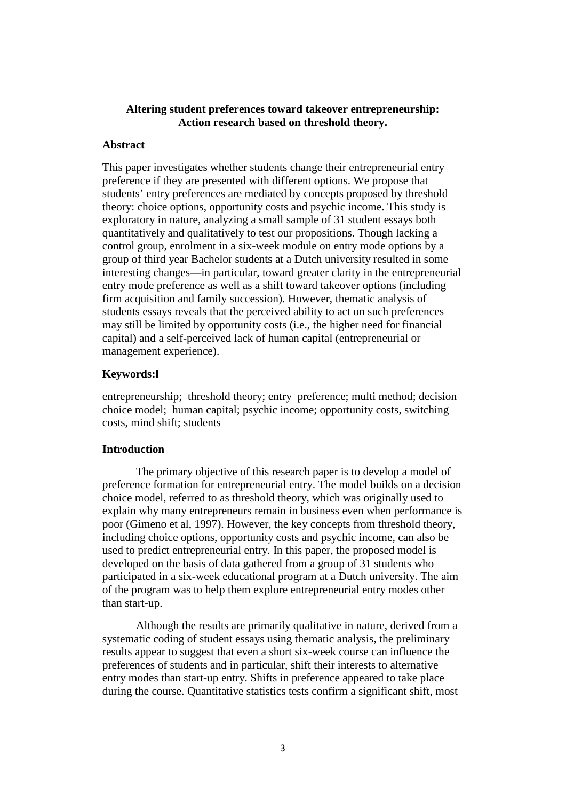# **Altering student preferences toward takeover entrepreneurship: Action research based on threshold theory.**

## **Abstract**

This paper investigates whether students change their entrepreneurial entry preference if they are presented with different options. We propose that students' entry preferences are mediated by concepts proposed by threshold theory: choice options, opportunity costs and psychic income. This study is exploratory in nature, analyzing a small sample of 31 student essays both quantitatively and qualitatively to test our propositions. Though lacking a control group, enrolment in a six-week module on entry mode options by a group of third year Bachelor students at a Dutch university resulted in some interesting changes—in particular, toward greater clarity in the entrepreneurial entry mode preference as well as a shift toward takeover options (including firm acquisition and family succession). However, thematic analysis of students essays reveals that the perceived ability to act on such preferences may still be limited by opportunity costs (i.e., the higher need for financial capital) and a self-perceived lack of human capital (entrepreneurial or management experience).

## **Keywords:l**

entrepreneurship; threshold theory; entry preference; multi method; decision choice model; human capital; psychic income; opportunity costs, switching costs, mind shift; students

### **Introduction**

The primary objective of this research paper is to develop a model of preference formation for entrepreneurial entry. The model builds on a decision choice model, referred to as threshold theory, which was originally used to explain why many entrepreneurs remain in business even when performance is poor (Gimeno et al, 1997). However, the key concepts from threshold theory, including choice options, opportunity costs and psychic income, can also be used to predict entrepreneurial entry. In this paper, the proposed model is developed on the basis of data gathered from a group of 31 students who participated in a six-week educational program at a Dutch university. The aim of the program was to help them explore entrepreneurial entry modes other than start-up.

Although the results are primarily qualitative in nature, derived from a systematic coding of student essays using thematic analysis, the preliminary results appear to suggest that even a short six-week course can influence the preferences of students and in particular, shift their interests to alternative entry modes than start-up entry. Shifts in preference appeared to take place during the course. Quantitative statistics tests confirm a significant shift, most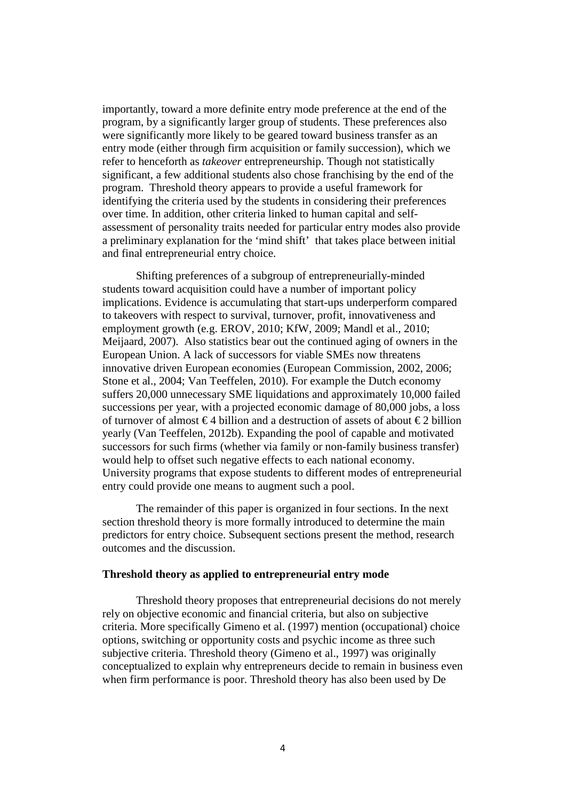importantly, toward a more definite entry mode preference at the end of the program, by a significantly larger group of students. These preferences also were significantly more likely to be geared toward business transfer as an entry mode (either through firm acquisition or family succession), which we refer to henceforth as *takeover* entrepreneurship. Though not statistically significant, a few additional students also chose franchising by the end of the program. Threshold theory appears to provide a useful framework for identifying the criteria used by the students in considering their preferences over time. In addition, other criteria linked to human capital and selfassessment of personality traits needed for particular entry modes also provide a preliminary explanation for the 'mind shift' that takes place between initial and final entrepreneurial entry choice.

Shifting preferences of a subgroup of entrepreneurially-minded students toward acquisition could have a number of important policy implications. Evidence is accumulating that start-ups underperform compared to takeovers with respect to survival, turnover, profit, innovativeness and employment growth (e.g. EROV, 2010; KfW, 2009; Mandl et al., 2010; Meijaard, 2007). Also statistics bear out the continued aging of owners in the European Union. A lack of successors for viable SMEs now threatens innovative driven European economies (European Commission, 2002, 2006; Stone et al., 2004; Van Teeffelen, 2010). For example the Dutch economy suffers 20,000 unnecessary SME liquidations and approximately 10,000 failed successions per year, with a projected economic damage of 80,000 jobs, a loss of turnover of almost  $\epsilon$ 4 billion and a destruction of assets of about  $\epsilon$ 2 billion yearly (Van Teeffelen, 2012b). Expanding the pool of capable and motivated successors for such firms (whether via family or non-family business transfer) would help to offset such negative effects to each national economy. University programs that expose students to different modes of entrepreneurial entry could provide one means to augment such a pool.

The remainder of this paper is organized in four sections. In the next section threshold theory is more formally introduced to determine the main predictors for entry choice. Subsequent sections present the method, research outcomes and the discussion.

### **Threshold theory as applied to entrepreneurial entry mode**

Threshold theory proposes that entrepreneurial decisions do not merely rely on objective economic and financial criteria, but also on subjective criteria. More specifically Gimeno et al. (1997) mention (occupational) choice options, switching or opportunity costs and psychic income as three such subjective criteria. Threshold theory (Gimeno et al., 1997) was originally conceptualized to explain why entrepreneurs decide to remain in business even when firm performance is poor. Threshold theory has also been used by De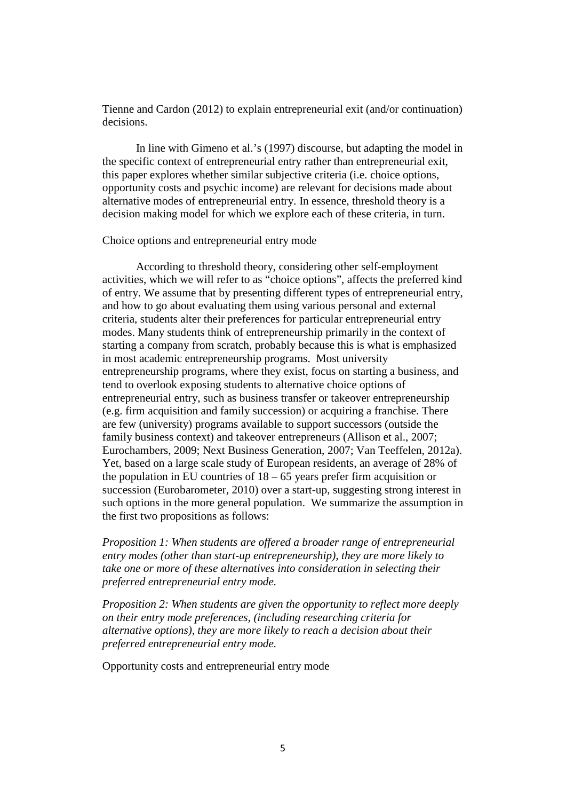Tienne and Cardon (2012) to explain entrepreneurial exit (and/or continuation) decisions.

In line with Gimeno et al.'s (1997) discourse, but adapting the model in the specific context of entrepreneurial entry rather than entrepreneurial exit, this paper explores whether similar subjective criteria (i.e. choice options, opportunity costs and psychic income) are relevant for decisions made about alternative modes of entrepreneurial entry. In essence, threshold theory is a decision making model for which we explore each of these criteria, in turn.

#### Choice options and entrepreneurial entry mode

According to threshold theory, considering other self-employment activities, which we will refer to as "choice options", affects the preferred kind of entry. We assume that by presenting different types of entrepreneurial entry, and how to go about evaluating them using various personal and external criteria, students alter their preferences for particular entrepreneurial entry modes. Many students think of entrepreneurship primarily in the context of starting a company from scratch, probably because this is what is emphasized in most academic entrepreneurship programs. Most university entrepreneurship programs, where they exist, focus on starting a business, and tend to overlook exposing students to alternative choice options of entrepreneurial entry, such as business transfer or takeover entrepreneurship (e.g. firm acquisition and family succession) or acquiring a franchise. There are few (university) programs available to support successors (outside the family business context) and takeover entrepreneurs (Allison et al., 2007; Eurochambers, 2009; Next Business Generation, 2007; Van Teeffelen, 2012a). Yet, based on a large scale study of European residents, an average of 28% of the population in EU countries of  $18 - 65$  years prefer firm acquisition or succession (Eurobarometer, 2010) over a start-up, suggesting strong interest in such options in the more general population. We summarize the assumption in the first two propositions as follows:

*Proposition 1: When students are offered a broader range of entrepreneurial entry modes (other than start-up entrepreneurship), they are more likely to take one or more of these alternatives into consideration in selecting their preferred entrepreneurial entry mode.*

*Proposition 2: When students are given the opportunity to reflect more deeply on their entry mode preferences, (including researching criteria for alternative options), they are more likely to reach a decision about their preferred entrepreneurial entry mode.* 

Opportunity costs and entrepreneurial entry mode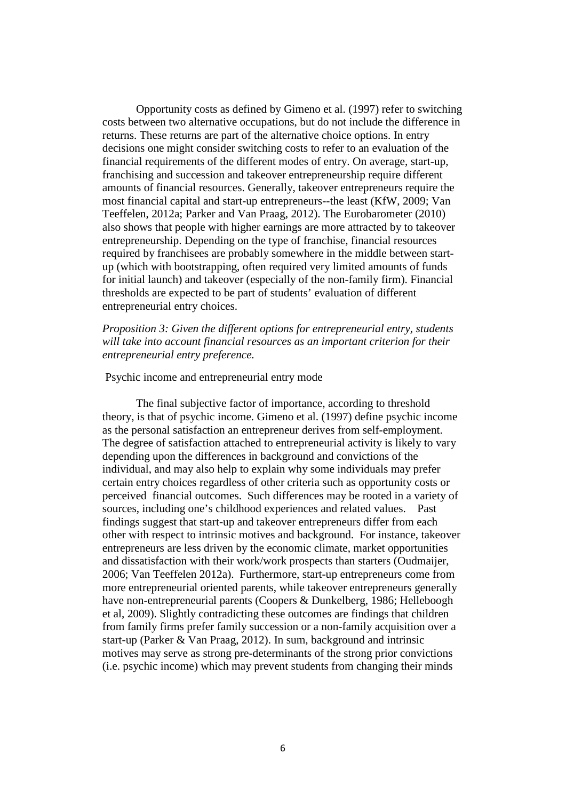Opportunity costs as defined by Gimeno et al. (1997) refer to switching costs between two alternative occupations, but do not include the difference in returns. These returns are part of the alternative choice options. In entry decisions one might consider switching costs to refer to an evaluation of the financial requirements of the different modes of entry. On average, start-up, franchising and succession and takeover entrepreneurship require different amounts of financial resources. Generally, takeover entrepreneurs require the most financial capital and start-up entrepreneurs--the least (KfW, 2009; Van Teeffelen, 2012a; Parker and Van Praag, 2012). The Eurobarometer (2010) also shows that people with higher earnings are more attracted by to takeover entrepreneurship. Depending on the type of franchise, financial resources required by franchisees are probably somewhere in the middle between startup (which with bootstrapping, often required very limited amounts of funds for initial launch) and takeover (especially of the non-family firm). Financial thresholds are expected to be part of students' evaluation of different entrepreneurial entry choices.

# *Proposition 3: Given the different options for entrepreneurial entry, students will take into account financial resources as an important criterion for their entrepreneurial entry preference.*

### Psychic income and entrepreneurial entry mode

The final subjective factor of importance, according to threshold theory, is that of psychic income. Gimeno et al. (1997) define psychic income as the personal satisfaction an entrepreneur derives from self-employment. The degree of satisfaction attached to entrepreneurial activity is likely to vary depending upon the differences in background and convictions of the individual, and may also help to explain why some individuals may prefer certain entry choices regardless of other criteria such as opportunity costs or perceived financial outcomes. Such differences may be rooted in a variety of sources, including one's childhood experiences and related values. Past findings suggest that start-up and takeover entrepreneurs differ from each other with respect to intrinsic motives and background. For instance, takeover entrepreneurs are less driven by the economic climate, market opportunities and dissatisfaction with their work/work prospects than starters (Oudmaijer, 2006; Van Teeffelen 2012a). Furthermore, start-up entrepreneurs come from more entrepreneurial oriented parents, while takeover entrepreneurs generally have non-entrepreneurial parents (Coopers & Dunkelberg, 1986; Helleboogh et al, 2009). Slightly contradicting these outcomes are findings that children from family firms prefer family succession or a non-family acquisition over a start-up (Parker & Van Praag, 2012). In sum, background and intrinsic motives may serve as strong pre-determinants of the strong prior convictions (i.e. psychic income) which may prevent students from changing their minds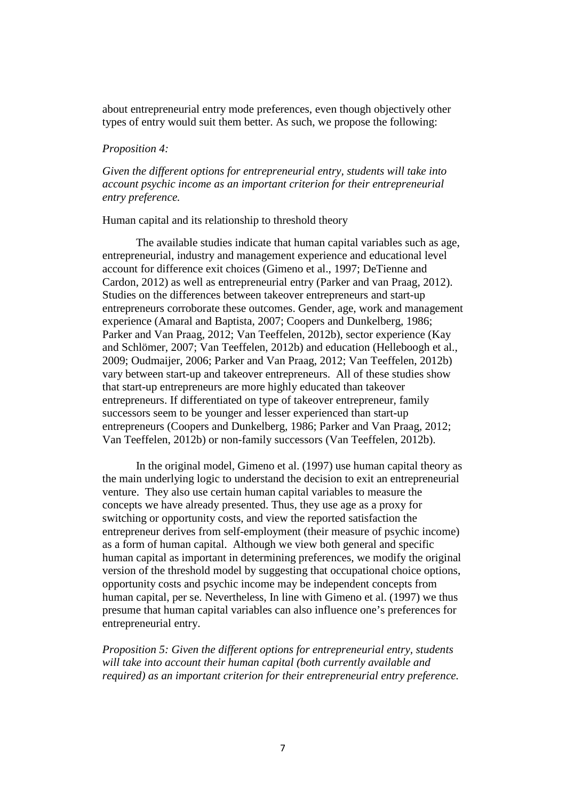about entrepreneurial entry mode preferences, even though objectively other types of entry would suit them better. As such, we propose the following:

#### *Proposition 4:*

*Given the different options for entrepreneurial entry, students will take into account psychic income as an important criterion for their entrepreneurial entry preference.*

### Human capital and its relationship to threshold theory

The available studies indicate that human capital variables such as age, entrepreneurial, industry and management experience and educational level account for difference exit choices (Gimeno et al., 1997; DeTienne and Cardon, 2012) as well as entrepreneurial entry (Parker and van Praag, 2012). Studies on the differences between takeover entrepreneurs and start-up entrepreneurs corroborate these outcomes. Gender, age, work and management experience (Amaral and Baptista, 2007; Coopers and Dunkelberg, 1986; Parker and Van Praag, 2012; Van Teeffelen, 2012b), sector experience (Kay and Schlömer, 2007; Van Teeffelen, 2012b) and education (Helleboogh et al., 2009; Oudmaijer, 2006; Parker and Van Praag, 2012; Van Teeffelen, 2012b) vary between start-up and takeover entrepreneurs. All of these studies show that start-up entrepreneurs are more highly educated than takeover entrepreneurs. If differentiated on type of takeover entrepreneur, family successors seem to be younger and lesser experienced than start-up entrepreneurs (Coopers and Dunkelberg, 1986; Parker and Van Praag, 2012; Van Teeffelen, 2012b) or non-family successors (Van Teeffelen, 2012b).

In the original model, Gimeno et al. (1997) use human capital theory as the main underlying logic to understand the decision to exit an entrepreneurial venture. They also use certain human capital variables to measure the concepts we have already presented. Thus, they use age as a proxy for switching or opportunity costs, and view the reported satisfaction the entrepreneur derives from self-employment (their measure of psychic income) as a form of human capital. Although we view both general and specific human capital as important in determining preferences, we modify the original version of the threshold model by suggesting that occupational choice options, opportunity costs and psychic income may be independent concepts from human capital, per se. Nevertheless, In line with Gimeno et al. (1997) we thus presume that human capital variables can also influence one's preferences for entrepreneurial entry.

*Proposition 5: Given the different options for entrepreneurial entry, students will take into account their human capital (both currently available and required) as an important criterion for their entrepreneurial entry preference.*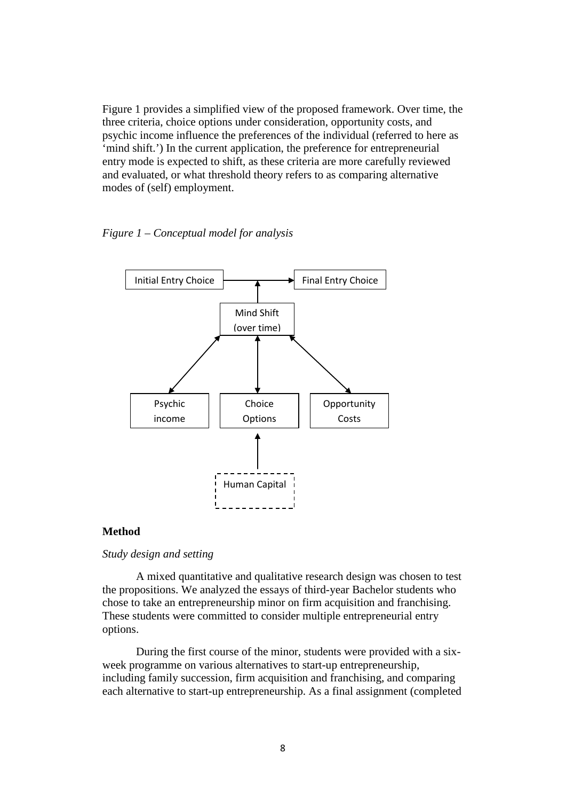Figure 1 provides a simplified view of the proposed framework. Over time, the three criteria, choice options under consideration, opportunity costs, and psychic income influence the preferences of the individual (referred to here as 'mind shift.') In the current application, the preference for entrepreneurial entry mode is expected to shift, as these criteria are more carefully reviewed and evaluated, or what threshold theory refers to as comparing alternative modes of (self) employment.

### *Figure 1 – Conceptual model for analysis*



#### **Method**

#### *Study design and setting*

A mixed quantitative and qualitative research design was chosen to test the propositions. We analyzed the essays of third-year Bachelor students who chose to take an entrepreneurship minor on firm acquisition and franchising. These students were committed to consider multiple entrepreneurial entry options.

During the first course of the minor, students were provided with a sixweek programme on various alternatives to start-up entrepreneurship, including family succession, firm acquisition and franchising, and comparing each alternative to start-up entrepreneurship. As a final assignment (completed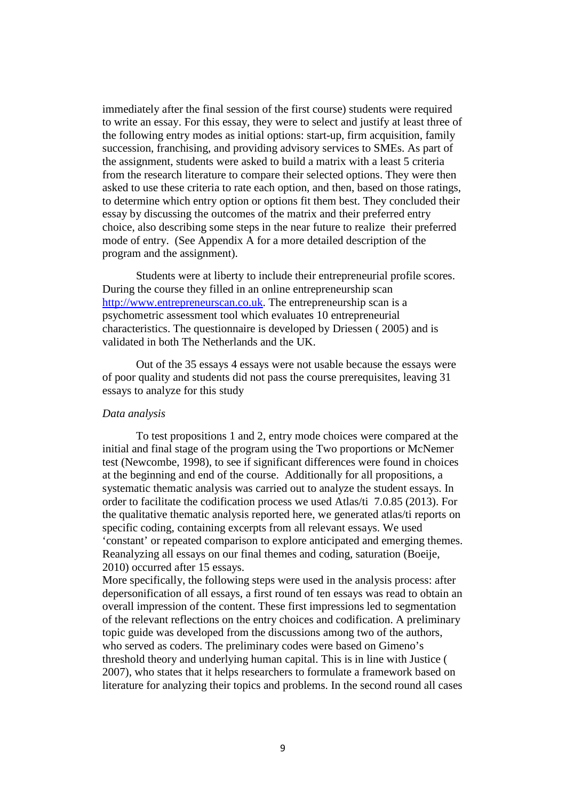immediately after the final session of the first course) students were required to write an essay. For this essay, they were to select and justify at least three of the following entry modes as initial options: start-up, firm acquisition, family succession, franchising, and providing advisory services to SMEs. As part of the assignment, students were asked to build a matrix with a least 5 criteria from the research literature to compare their selected options. They were then asked to use these criteria to rate each option, and then, based on those ratings, to determine which entry option or options fit them best. They concluded their essay by discussing the outcomes of the matrix and their preferred entry choice, also describing some steps in the near future to realize their preferred mode of entry. (See Appendix A for a more detailed description of the program and the assignment).

Students were at liberty to include their entrepreneurial profile scores. During the course they filled in an online entrepreneurship scan [http://www.entrepreneurscan.co.uk.](http://www.entrepreneurscan.co.uk/) The entrepreneurship scan is a psychometric assessment tool which evaluates 10 entrepreneurial characteristics. The questionnaire is developed by Driessen ( 2005) and is validated in both The Netherlands and the UK.

Out of the 35 essays 4 essays were not usable because the essays were of poor quality and students did not pass the course prerequisites, leaving 31 essays to analyze for this study

#### *Data analysis*

To test propositions 1 and 2, entry mode choices were compared at the initial and final stage of the program using the Two proportions or McNemer test (Newcombe, 1998), to see if significant differences were found in choices at the beginning and end of the course. Additionally for all propositions, a systematic thematic analysis was carried out to analyze the student essays. In order to facilitate the codification process we used Atlas/ti 7.0.85 (2013). For the qualitative thematic analysis reported here, we generated atlas/ti reports on specific coding, containing excerpts from all relevant essays. We used 'constant' or repeated comparison to explore anticipated and emerging themes. Reanalyzing all essays on our final themes and coding, saturation (Boeije, 2010) occurred after 15 essays.

More specifically, the following steps were used in the analysis process: after depersonification of all essays, a first round of ten essays was read to obtain an overall impression of the content. These first impressions led to segmentation of the relevant reflections on the entry choices and codification. A preliminary topic guide was developed from the discussions among two of the authors, who served as coders. The preliminary codes were based on Gimeno's threshold theory and underlying human capital. This is in line with Justice ( 2007), who states that it helps researchers to formulate a framework based on literature for analyzing their topics and problems. In the second round all cases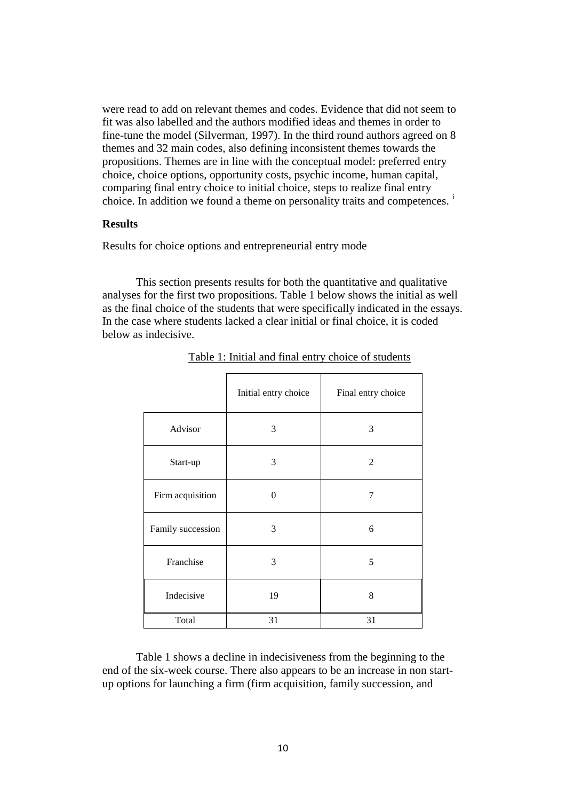were read to add on relevant themes and codes. Evidence that did not seem to fit was also labelled and the authors modified ideas and themes in order to fine-tune the model (Silverman, 1997). In the third round authors agreed on 8 themes and 32 main codes, also defining inconsistent themes towards the propositions. Themes are in line with the conceptual model: preferred entry choice, choice options, opportunity costs, psychic income, human capital, comparing final entry choice to initial choice, steps to realize final entry cho[i](#page-23-0)ce. In addition we found a theme on personality traits and competences. <sup>i</sup>

## **Results**

Results for choice options and entrepreneurial entry mode

This section presents results for both the quantitative and qualitative analyses for the first two propositions. Table 1 below shows the initial as well as the final choice of the students that were specifically indicated in the essays. In the case where students lacked a clear initial or final choice, it is coded below as indecisive.

|                   | Initial entry choice | Final entry choice |
|-------------------|----------------------|--------------------|
| Advisor           | 3                    | 3                  |
| Start-up          | 3                    | 2                  |
| Firm acquisition  | $\Omega$             | 7                  |
| Family succession | 3                    | 6                  |
| Franchise         | 3                    | 5                  |
| Indecisive        | 19                   | 8                  |
| Total             | 31                   | 31                 |

Table 1: Initial and final entry choice of students

Table 1 shows a decline in indecisiveness from the beginning to the end of the six-week course. There also appears to be an increase in non startup options for launching a firm (firm acquisition, family succession, and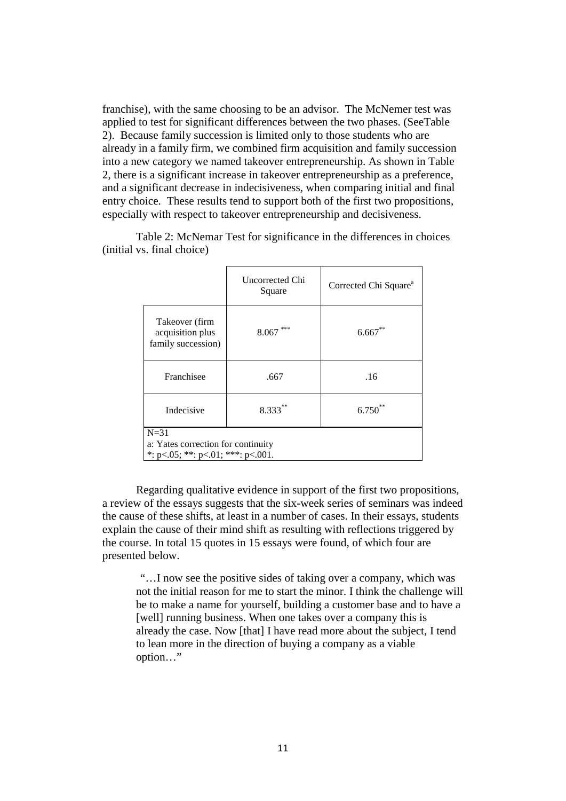franchise), with the same choosing to be an advisor. The McNemer test was applied to test for significant differences between the two phases. (SeeTable 2). Because family succession is limited only to those students who are already in a family firm, we combined firm acquisition and family succession into a new category we named takeover entrepreneurship. As shown in Table 2, there is a significant increase in takeover entrepreneurship as a preference, and a significant decrease in indecisiveness, when comparing initial and final entry choice. These results tend to support both of the first two propositions, especially with respect to takeover entrepreneurship and decisiveness.

Table 2: McNemar Test for significance in the differences in choices (initial vs. final choice)

|                                                                                           | Uncorrected Chi<br>Square | Corrected Chi Square <sup>a</sup> |
|-------------------------------------------------------------------------------------------|---------------------------|-----------------------------------|
| Takeover (firm<br>acquisition plus<br>family succession)                                  | $8.067$ ***               | $6.667***$                        |
| Franchisee                                                                                | .667                      | .16                               |
| Indecisive                                                                                | 8.333**                   | $6.750**$                         |
| $N = 31$<br>a: Yates correction for continuity<br>*: $p<.05;$ **: $p<.01;$ ***: $p<.001.$ |                           |                                   |

Regarding qualitative evidence in support of the first two propositions, a review of the essays suggests that the six-week series of seminars was indeed the cause of these shifts, at least in a number of cases. In their essays, students explain the cause of their mind shift as resulting with reflections triggered by the course. In total 15 quotes in 15 essays were found, of which four are presented below.

"…I now see the positive sides of taking over a company, which was not the initial reason for me to start the minor. I think the challenge will be to make a name for yourself, building a customer base and to have a [well] running business. When one takes over a company this is already the case. Now [that] I have read more about the subject, I tend to lean more in the direction of buying a company as a viable option…"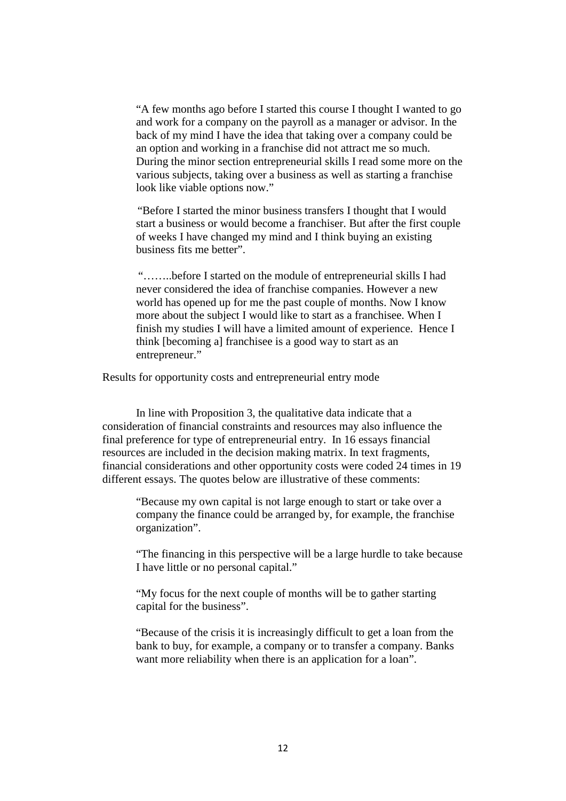"A few months ago before I started this course I thought I wanted to go and work for a company on the payroll as a manager or advisor. In the back of my mind I have the idea that taking over a company could be an option and working in a franchise did not attract me so much. During the minor section entrepreneurial skills I read some more on the various subjects, taking over a business as well as starting a franchise look like viable options now."

"Before I started the minor business transfers I thought that I would start a business or would become a franchiser. But after the first couple of weeks I have changed my mind and I think buying an existing business fits me better".

"……..before I started on the module of entrepreneurial skills I had never considered the idea of franchise companies. However a new world has opened up for me the past couple of months. Now I know more about the subject I would like to start as a franchisee. When I finish my studies I will have a limited amount of experience. Hence I think [becoming a] franchisee is a good way to start as an entrepreneur."

Results for opportunity costs and entrepreneurial entry mode

In line with Proposition 3, the qualitative data indicate that a consideration of financial constraints and resources may also influence the final preference for type of entrepreneurial entry. In 16 essays financial resources are included in the decision making matrix. In text fragments, financial considerations and other opportunity costs were coded 24 times in 19 different essays. The quotes below are illustrative of these comments:

"Because my own capital is not large enough to start or take over a company the finance could be arranged by, for example, the franchise organization".

"The financing in this perspective will be a large hurdle to take because I have little or no personal capital."

"My focus for the next couple of months will be to gather starting capital for the business".

"Because of the crisis it is increasingly difficult to get a loan from the bank to buy, for example, a company or to transfer a company. Banks want more reliability when there is an application for a loan".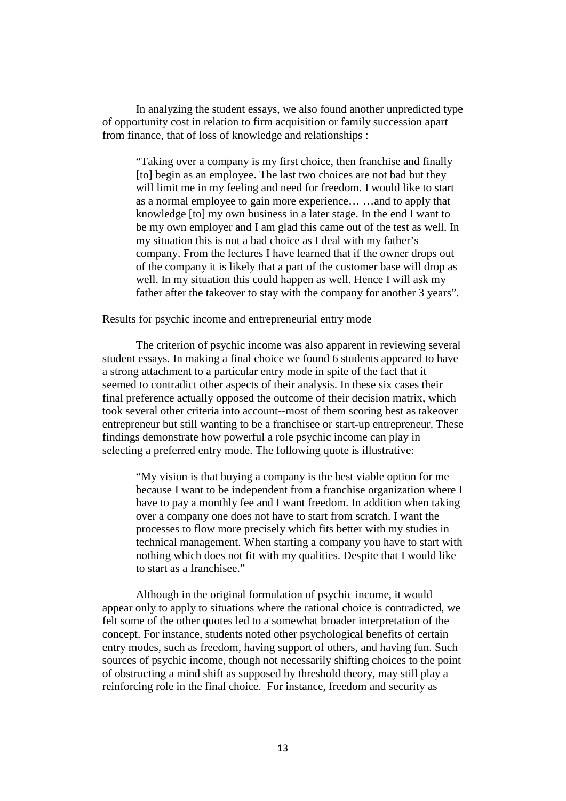In analyzing the student essays, we also found another unpredicted type of opportunity cost in relation to firm acquisition or family succession apart from finance, that of loss of knowledge and relationships :

"Taking over a company is my first choice, then franchise and finally [to] begin as an employee. The last two choices are not bad but they will limit me in my feeling and need for freedom. I would like to start as a normal employee to gain more experience… …and to apply that knowledge [to] my own business in a later stage. In the end I want to be my own employer and I am glad this came out of the test as well. In my situation this is not a bad choice as I deal with my father's company. From the lectures I have learned that if the owner drops out of the company it is likely that a part of the customer base will drop as well. In my situation this could happen as well. Hence I will ask my father after the takeover to stay with the company for another 3 years".

Results for psychic income and entrepreneurial entry mode

The criterion of psychic income was also apparent in reviewing several student essays. In making a final choice we found 6 students appeared to have a strong attachment to a particular entry mode in spite of the fact that it seemed to contradict other aspects of their analysis. In these six cases their final preference actually opposed the outcome of their decision matrix, which took several other criteria into account--most of them scoring best as takeover entrepreneur but still wanting to be a franchisee or start-up entrepreneur. These findings demonstrate how powerful a role psychic income can play in selecting a preferred entry mode. The following quote is illustrative:

"My vision is that buying a company is the best viable option for me because I want to be independent from a franchise organization where I have to pay a monthly fee and I want freedom. In addition when taking over a company one does not have to start from scratch. I want the processes to flow more precisely which fits better with my studies in technical management. When starting a company you have to start with nothing which does not fit with my qualities. Despite that I would like to start as a franchisee."

Although in the original formulation of psychic income, it would appear only to apply to situations where the rational choice is contradicted, we felt some of the other quotes led to a somewhat broader interpretation of the concept. For instance, students noted other psychological benefits of certain entry modes, such as freedom, having support of others, and having fun. Such sources of psychic income, though not necessarily shifting choices to the point of obstructing a mind shift as supposed by threshold theory, may still play a reinforcing role in the final choice. For instance, freedom and security as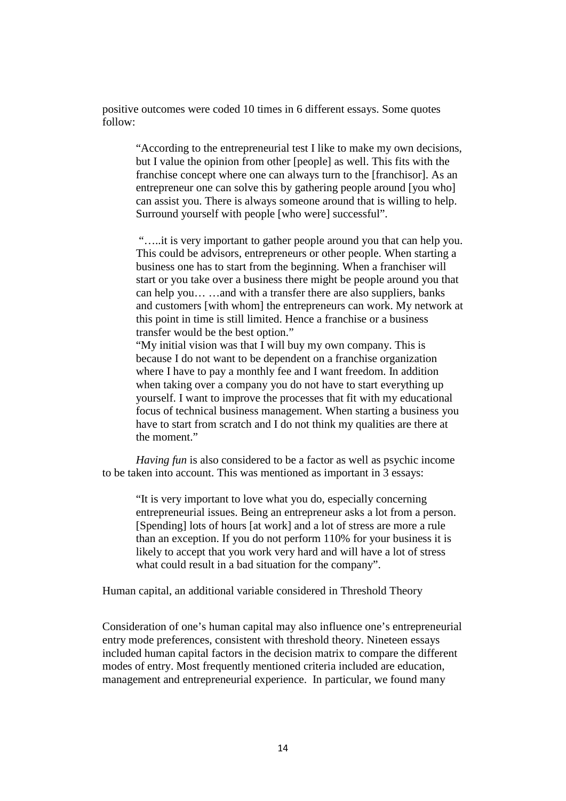positive outcomes were coded 10 times in 6 different essays. Some quotes follow:

"According to the entrepreneurial test I like to make my own decisions, but I value the opinion from other [people] as well. This fits with the franchise concept where one can always turn to the [franchisor]. As an entrepreneur one can solve this by gathering people around [you who] can assist you. There is always someone around that is willing to help. Surround yourself with people [who were] successful".

"…..it is very important to gather people around you that can help you. This could be advisors, entrepreneurs or other people. When starting a business one has to start from the beginning. When a franchiser will start or you take over a business there might be people around you that can help you… …and with a transfer there are also suppliers, banks and customers [with whom] the entrepreneurs can work. My network at this point in time is still limited. Hence a franchise or a business transfer would be the best option."

"My initial vision was that I will buy my own company. This is because I do not want to be dependent on a franchise organization where I have to pay a monthly fee and I want freedom. In addition when taking over a company you do not have to start everything up yourself. I want to improve the processes that fit with my educational focus of technical business management. When starting a business you have to start from scratch and I do not think my qualities are there at the moment."

*Having fun* is also considered to be a factor as well as psychic income to be taken into account. This was mentioned as important in 3 essays:

"It is very important to love what you do, especially concerning entrepreneurial issues. Being an entrepreneur asks a lot from a person. [Spending] lots of hours [at work] and a lot of stress are more a rule than an exception. If you do not perform 110% for your business it is likely to accept that you work very hard and will have a lot of stress what could result in a bad situation for the company".

Human capital, an additional variable considered in Threshold Theory

Consideration of one's human capital may also influence one's entrepreneurial entry mode preferences, consistent with threshold theory. Nineteen essays included human capital factors in the decision matrix to compare the different modes of entry. Most frequently mentioned criteria included are education, management and entrepreneurial experience. In particular, we found many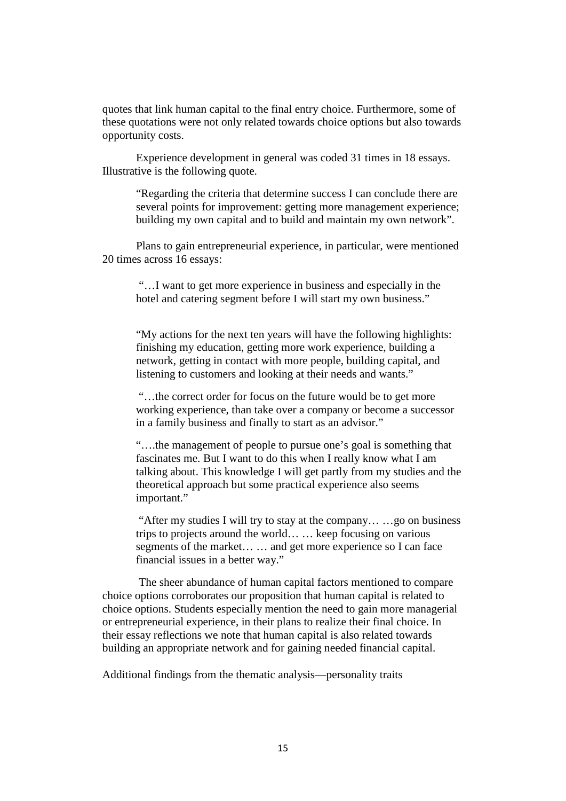quotes that link human capital to the final entry choice. Furthermore, some of these quotations were not only related towards choice options but also towards opportunity costs.

Experience development in general was coded 31 times in 18 essays. Illustrative is the following quote.

"Regarding the criteria that determine success I can conclude there are several points for improvement: getting more management experience; building my own capital and to build and maintain my own network".

Plans to gain entrepreneurial experience, in particular, were mentioned 20 times across 16 essays:

"…I want to get more experience in business and especially in the hotel and catering segment before I will start my own business."

"My actions for the next ten years will have the following highlights: finishing my education, getting more work experience, building a network, getting in contact with more people, building capital, and listening to customers and looking at their needs and wants."

"…the correct order for focus on the future would be to get more working experience, than take over a company or become a successor in a family business and finally to start as an advisor."

"….the management of people to pursue one's goal is something that fascinates me. But I want to do this when I really know what I am talking about. This knowledge I will get partly from my studies and the theoretical approach but some practical experience also seems important."

"After my studies I will try to stay at the company… …go on business trips to projects around the world… … keep focusing on various segments of the market... ... and get more experience so I can face financial issues in a better way."

The sheer abundance of human capital factors mentioned to compare choice options corroborates our proposition that human capital is related to choice options. Students especially mention the need to gain more managerial or entrepreneurial experience, in their plans to realize their final choice. In their essay reflections we note that human capital is also related towards building an appropriate network and for gaining needed financial capital.

Additional findings from the thematic analysis—personality traits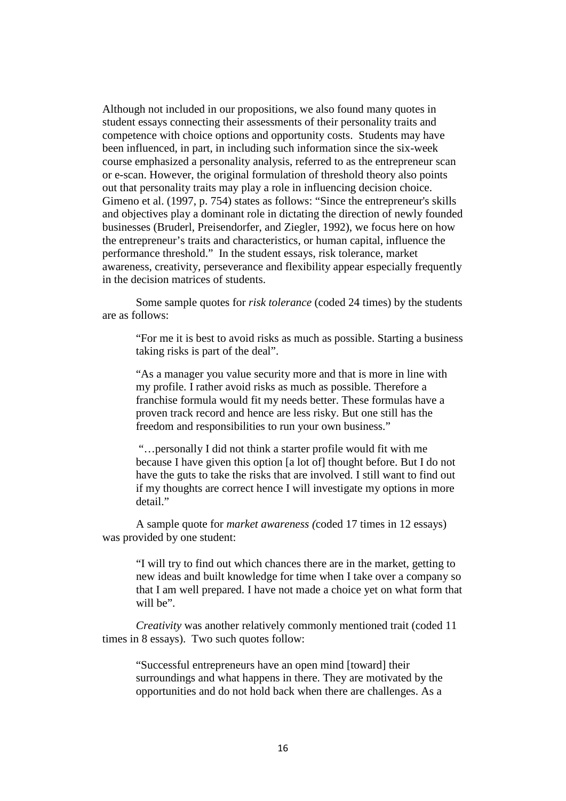Although not included in our propositions, we also found many quotes in student essays connecting their assessments of their personality traits and competence with choice options and opportunity costs. Students may have been influenced, in part, in including such information since the six-week course emphasized a personality analysis, referred to as the entrepreneur scan or e-scan. However, the original formulation of threshold theory also points out that personality traits may play a role in influencing decision choice. Gimeno et al. (1997, p. 754) states as follows: "Since the entrepreneur's skills and objectives play a dominant role in dictating the direction of newly founded businesses (Bruderl, Preisendorfer, and Ziegler, 1992), we focus here on how the entrepreneur's traits and characteristics, or human capital, influence the performance threshold." In the student essays, risk tolerance, market awareness, creativity, perseverance and flexibility appear especially frequently in the decision matrices of students.

Some sample quotes for *risk tolerance* (coded 24 times) by the students are as follows:

"For me it is best to avoid risks as much as possible. Starting a business taking risks is part of the deal".

"As a manager you value security more and that is more in line with my profile. I rather avoid risks as much as possible. Therefore a franchise formula would fit my needs better. These formulas have a proven track record and hence are less risky. But one still has the freedom and responsibilities to run your own business."

"…personally I did not think a starter profile would fit with me because I have given this option [a lot of] thought before. But I do not have the guts to take the risks that are involved. I still want to find out if my thoughts are correct hence I will investigate my options in more detail."

A sample quote for *market awareness (*coded 17 times in 12 essays) was provided by one student:

"I will try to find out which chances there are in the market, getting to new ideas and built knowledge for time when I take over a company so that I am well prepared. I have not made a choice yet on what form that will be".

*Creativity* was another relatively commonly mentioned trait (coded 11 times in 8 essays). Two such quotes follow:

"Successful entrepreneurs have an open mind [toward] their surroundings and what happens in there. They are motivated by the opportunities and do not hold back when there are challenges. As a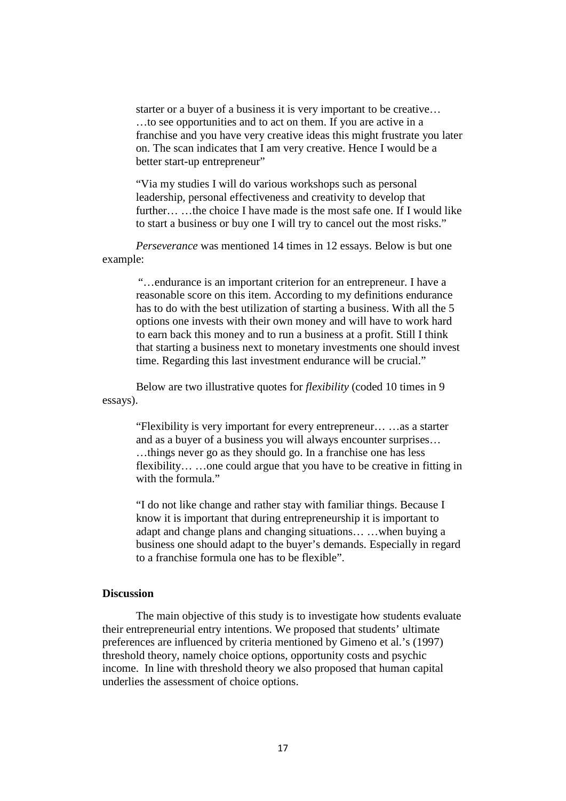starter or a buyer of a business it is very important to be creative… …to see opportunities and to act on them. If you are active in a franchise and you have very creative ideas this might frustrate you later on. The scan indicates that I am very creative. Hence I would be a better start-up entrepreneur"

"Via my studies I will do various workshops such as personal leadership, personal effectiveness and creativity to develop that further... ...the choice I have made is the most safe one. If I would like to start a business or buy one I will try to cancel out the most risks."

*Perseverance* was mentioned 14 times in 12 essays. Below is but one example:

"…endurance is an important criterion for an entrepreneur. I have a reasonable score on this item. According to my definitions endurance has to do with the best utilization of starting a business. With all the 5 options one invests with their own money and will have to work hard to earn back this money and to run a business at a profit. Still I think that starting a business next to monetary investments one should invest time. Regarding this last investment endurance will be crucial."

Below are two illustrative quotes for *flexibility* (coded 10 times in 9 essays).

"Flexibility is very important for every entrepreneur… …as a starter and as a buyer of a business you will always encounter surprises… …things never go as they should go. In a franchise one has less flexibility… …one could argue that you have to be creative in fitting in with the formula."

"I do not like change and rather stay with familiar things. Because I know it is important that during entrepreneurship it is important to adapt and change plans and changing situations… …when buying a business one should adapt to the buyer's demands. Especially in regard to a franchise formula one has to be flexible".

## **Discussion**

The main objective of this study is to investigate how students evaluate their entrepreneurial entry intentions. We proposed that students' ultimate preferences are influenced by criteria mentioned by Gimeno et al.'s (1997) threshold theory, namely choice options, opportunity costs and psychic income. In line with threshold theory we also proposed that human capital underlies the assessment of choice options.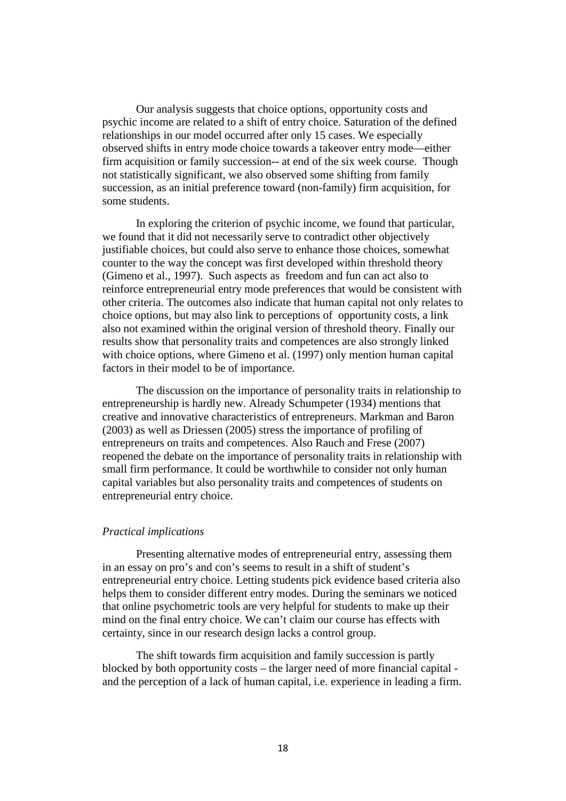Our analysis suggests that choice options, opportunity costs and psychic income are related to a shift of entry choice. Saturation of the defined relationships in our model occurred after only 15 cases. We especially observed shifts in entry mode choice towards a takeover entry mode—either firm acquisition or family succession-- at end of the six week course. Though not statistically significant, we also observed some shifting from family succession, as an initial preference toward (non-family) firm acquisition, for some students.

In exploring the criterion of psychic income, we found that particular, we found that it did not necessarily serve to contradict other objectively justifiable choices, but could also serve to enhance those choices, somewhat counter to the way the concept was first developed within threshold theory (Gimeno et al., 1997). Such aspects as freedom and fun can act also to reinforce entrepreneurial entry mode preferences that would be consistent with other criteria. The outcomes also indicate that human capital not only relates to choice options, but may also link to perceptions of opportunity costs, a link also not examined within the original version of threshold theory. Finally our results show that personality traits and competences are also strongly linked with choice options, where Gimeno et al. (1997) only mention human capital factors in their model to be of importance.

The discussion on the importance of personality traits in relationship to entrepreneurship is hardly new. Already Schumpeter (1934) mentions that creative and innovative characteristics of entrepreneurs. Markman and Baron (2003) as well as Driessen (2005) stress the importance of profiling of entrepreneurs on traits and competences. Also Rauch and Frese (2007) reopened the debate on the importance of personality traits in relationship with small firm performance. It could be worthwhile to consider not only human capital variables but also personality traits and competences of students on entrepreneurial entry choice.

#### *Practical implications*

Presenting alternative modes of entrepreneurial entry, assessing them in an essay on pro's and con's seems to result in a shift of student's entrepreneurial entry choice. Letting students pick evidence based criteria also helps them to consider different entry modes. During the seminars we noticed that online psychometric tools are very helpful for students to make up their mind on the final entry choice. We can't claim our course has effects with certainty, since in our research design lacks a control group.

The shift towards firm acquisition and family succession is partly blocked by both opportunity costs – the larger need of more financial capital and the perception of a lack of human capital, i.e. experience in leading a firm.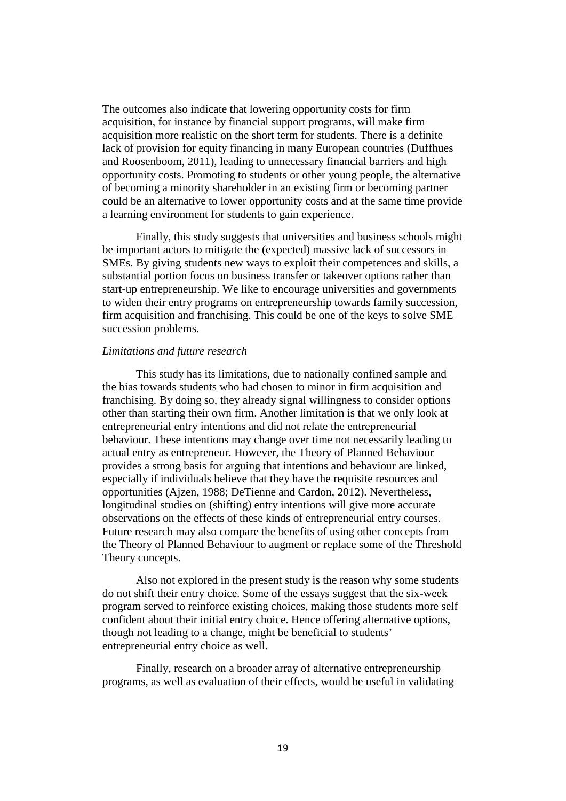The outcomes also indicate that lowering opportunity costs for firm acquisition, for instance by financial support programs, will make firm acquisition more realistic on the short term for students. There is a definite lack of provision for equity financing in many European countries (Duffhues and Roosenboom, 2011), leading to unnecessary financial barriers and high opportunity costs. Promoting to students or other young people, the alternative of becoming a minority shareholder in an existing firm or becoming partner could be an alternative to lower opportunity costs and at the same time provide a learning environment for students to gain experience.

Finally, this study suggests that universities and business schools might be important actors to mitigate the (expected) massive lack of successors in SMEs. By giving students new ways to exploit their competences and skills, a substantial portion focus on business transfer or takeover options rather than start-up entrepreneurship. We like to encourage universities and governments to widen their entry programs on entrepreneurship towards family succession, firm acquisition and franchising. This could be one of the keys to solve SME succession problems.

### *Limitations and future research*

This study has its limitations, due to nationally confined sample and the bias towards students who had chosen to minor in firm acquisition and franchising. By doing so, they already signal willingness to consider options other than starting their own firm. Another limitation is that we only look at entrepreneurial entry intentions and did not relate the entrepreneurial behaviour. These intentions may change over time not necessarily leading to actual entry as entrepreneur. However, the Theory of Planned Behaviour provides a strong basis for arguing that intentions and behaviour are linked, especially if individuals believe that they have the requisite resources and opportunities (Ajzen, 1988; DeTienne and Cardon, 2012). Nevertheless, longitudinal studies on (shifting) entry intentions will give more accurate observations on the effects of these kinds of entrepreneurial entry courses. Future research may also compare the benefits of using other concepts from the Theory of Planned Behaviour to augment or replace some of the Threshold Theory concepts.

Also not explored in the present study is the reason why some students do not shift their entry choice. Some of the essays suggest that the six-week program served to reinforce existing choices, making those students more self confident about their initial entry choice. Hence offering alternative options, though not leading to a change, might be beneficial to students' entrepreneurial entry choice as well.

Finally, research on a broader array of alternative entrepreneurship programs, as well as evaluation of their effects, would be useful in validating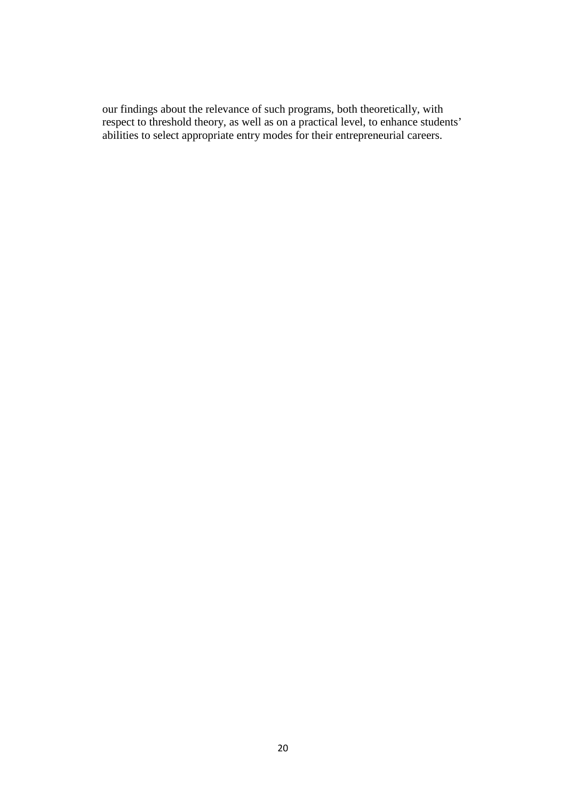our findings about the relevance of such programs, both theoretically, with respect to threshold theory, as well as on a practical level, to enhance students' abilities to select appropriate entry modes for their entrepreneurial careers.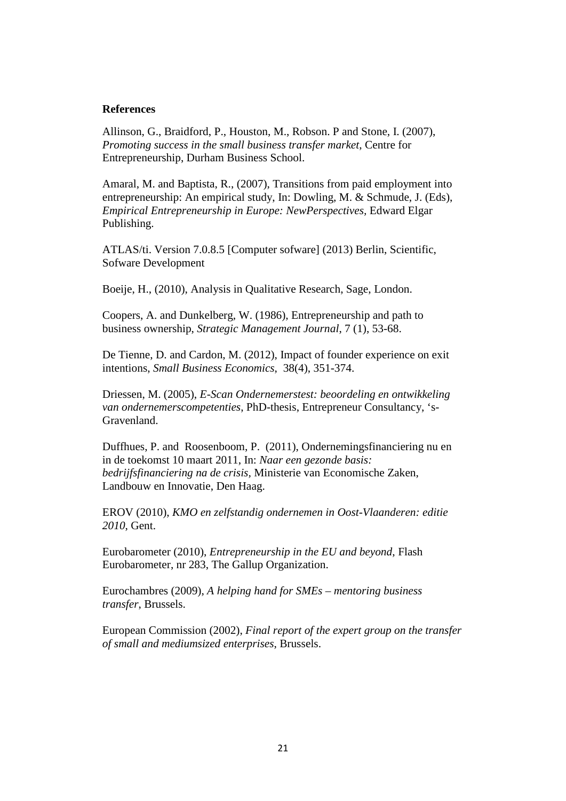### **References**

Allinson, G., Braidford, P., Houston, M., Robson. P and Stone, I. (2007), *Promoting success in the small business transfer market*, Centre for Entrepreneurship, Durham Business School.

Amaral, M. and Baptista, R., (2007), Transitions from paid employment into entrepreneurship: An empirical study, In: Dowling, M. & Schmude, J. (Eds), *Empirical Entrepreneurship in Europe: NewPerspectives,* Edward Elgar Publishing.

ATLAS/ti. Version 7.0.8.5 [Computer sofware] (2013) Berlin, Scientific, Sofware Development

Boeije, H., (2010), Analysis in Qualitative Research, Sage, London.

Coopers, A. and Dunkelberg, W. (1986), Entrepreneurship and path to business ownership, *Strategic Management Journal*, 7 (1), 53-68.

De Tienne, D. and Cardon, M. (2012), Impact of founder experience on exit intentions, *Small Business Economics*, 38(4), 351-374.

Driessen, M. (2005), *E-Scan Ondernemerstest: beoordeling en ontwikkeling van ondernemerscompetenties*, PhD-thesis, Entrepreneur Consultancy, 's-Gravenland.

Duffhues, P. and Roosenboom, P. (2011), Ondernemingsfinanciering nu en in de toekomst 10 maart 2011, In: *Naar een gezonde basis: bedrijfsfinanciering na de crisis,* Ministerie van Economische Zaken, Landbouw en Innovatie, Den Haag.

EROV (2010), *KMO en zelfstandig ondernemen in Oost-Vlaanderen: editie 2010*, Gent.

Eurobarometer (2010), *Entrepreneurship in the EU and beyond*, Flash Eurobarometer, nr 283, The Gallup Organization.

Eurochambres (2009), *A helping hand for SMEs – mentoring business transfer*, Brussels.

European Commission (2002), *Final report of the expert group on the transfer of small and mediumsized enterprises*, Brussels.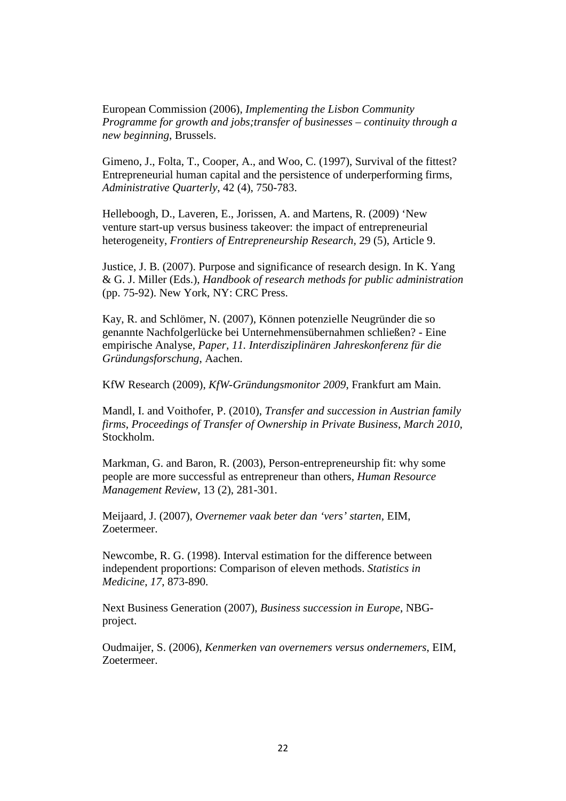European Commission (2006), *Implementing the Lisbon Community Programme for growth and jobs;transfer of businesses – continuity through a new beginning*, Brussels.

Gimeno, J., Folta, T., Cooper, A., and Woo, C. (1997), Survival of the fittest? Entrepreneurial human capital and the persistence of underperforming firms, *Administrative Quarterly*, 42 (4), 750-783.

Helleboogh, D., Laveren, E., Jorissen, A. and Martens, R. (2009) 'New venture start-up versus business takeover: the impact of entrepreneurial heterogeneity, *Frontiers of Entrepreneurship Research,* 29 (5), Article 9.

Justice, J. B. (2007). Purpose and significance of research design. In K. Yang & G. J. Miller (Eds.), *Handbook of research methods for public administration*  (pp. 75-92). New York, NY: CRC Press.

Kay, R. and Schlömer, N. (2007), Können potenzielle Neugründer die so genannte Nachfolgerlücke bei Unternehmensübernahmen schließen? - Eine empirische Analyse, *Paper, 11. Interdisziplinären Jahreskonferenz für die Gründungsforschung*, Aachen.

KfW Research (2009), *KfW-Gründungsmonitor 2009*, Frankfurt am Main.

Mandl, I. and Voithofer, P. (2010), *Transfer and succession in Austrian family firms*, *Proceedings of Transfer of Ownership in Private Business*, *March 2010*, Stockholm.

Markman, G. and Baron, R. (2003), Person-entrepreneurship fit: why some people are more successful as entrepreneur than others, *Human Resource Management Review*, 13 (2), 281-301.

Meijaard, J. (2007), *Overnemer vaak beter dan 'vers' starten,* EIM, Zoetermeer.

Newcombe, R. G. (1998). Interval estimation for the difference between independent proportions: Comparison of eleven methods. *Statistics in Medicine*, *17*, 873-890.

Next Business Generation (2007), *Business succession in Europe*, NBGproject.

Oudmaijer, S. (2006), *Kenmerken van overnemers versus ondernemers*, EIM, Zoetermeer.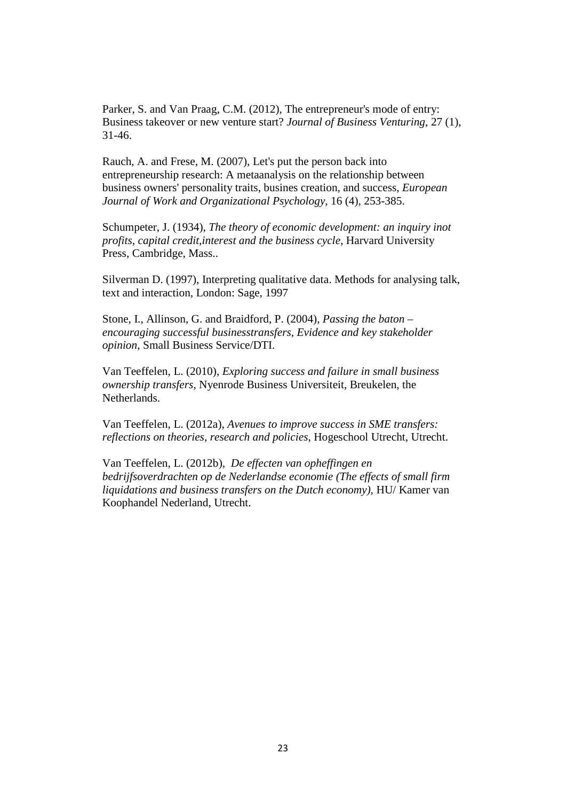Parker, S. and Van Praag, C.M. (2012), The entrepreneur's mode of entry: Business takeover or new venture start? *Journal of Business Venturing*, 27 (1), 31-46.

Rauch, A. and Frese, M. (2007), Let's put the person back into entrepreneurship research: A metaanalysis on the relationship between business owners' personality traits, busines creation, and success, *European Journal of Work and Organizational Psychology*, 16 (4), 253-385.

Schumpeter, J. (1934), *The theory of economic development: an inquiry inot profits, capital credit,interest and the business cycle*, Harvard University Press, Cambridge, Mass..

Silverman D. (1997), Interpreting qualitative data. Methods for analysing talk, text and interaction, London: Sage, 1997

Stone, I., Allinson, G. and Braidford, P. (2004), *Passing the baton – encouraging successful businesstransfers, Evidence and key stakeholder opinion*, Small Business Service/DTI.

Van Teeffelen, L. (2010), *Exploring success and failure in small business ownership transfers*, Nyenrode Business Universiteit, Breukelen, the Netherlands.

Van Teeffelen, L. (2012a), *Avenues to improve success in SME transfers: reflections on theories, research and policies*, Hogeschool Utrecht, Utrecht.

Van Teeffelen, L. (2012b), *De effecten van opheffingen en bedrijfsoverdrachten op de Nederlandse economie (The effects of small firm liquidations and business transfers on the Dutch economy),* HU/ Kamer van Koophandel Nederland, Utrecht.